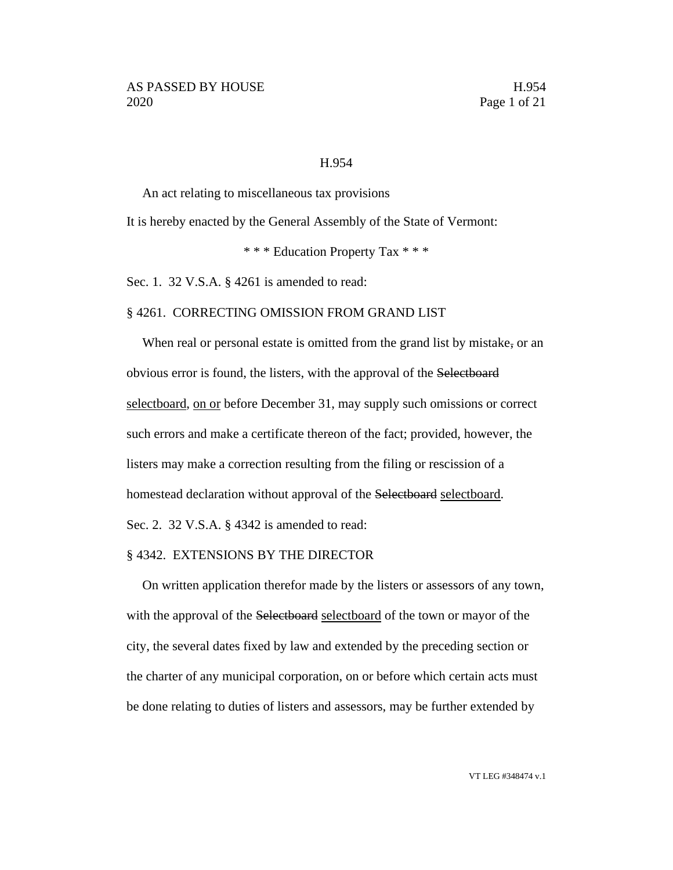#### H.954

An act relating to miscellaneous tax provisions

It is hereby enacted by the General Assembly of the State of Vermont:

\* \* \* Education Property Tax \* \* \*

Sec. 1. 32 V.S.A. § 4261 is amended to read:

#### § 4261. CORRECTING OMISSION FROM GRAND LIST

When real or personal estate is omitted from the grand list by mistake, or an obvious error is found, the listers, with the approval of the Selectboard selectboard, on or before December 31, may supply such omissions or correct such errors and make a certificate thereon of the fact; provided, however, the listers may make a correction resulting from the filing or rescission of a homestead declaration without approval of the Selectboard selectboard. Sec. 2. 32 V.S.A. § 4342 is amended to read:

## § 4342. EXTENSIONS BY THE DIRECTOR

On written application therefor made by the listers or assessors of any town, with the approval of the Selectboard selectboard of the town or mayor of the city, the several dates fixed by law and extended by the preceding section or the charter of any municipal corporation, on or before which certain acts must be done relating to duties of listers and assessors, may be further extended by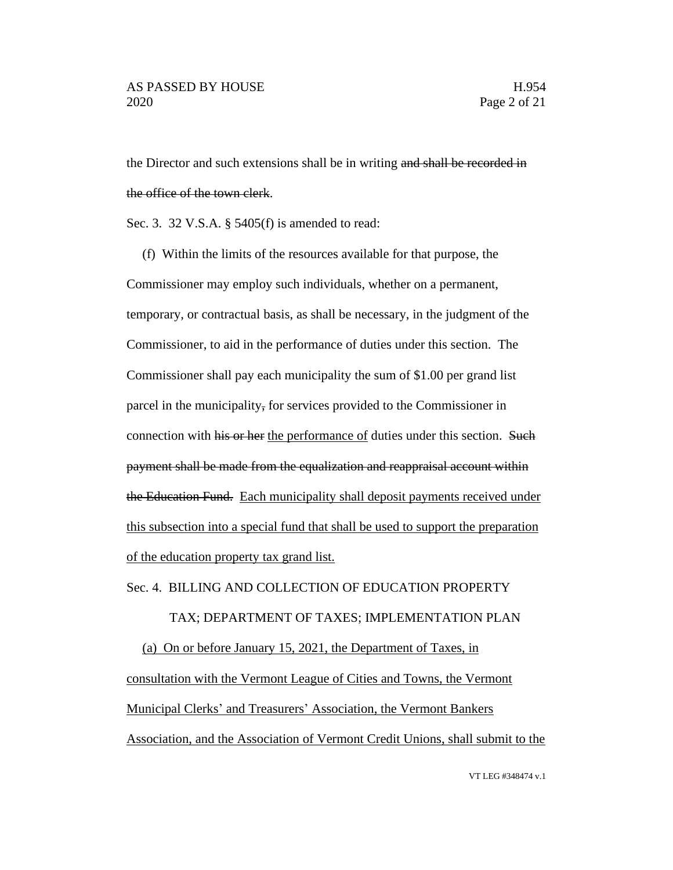the Director and such extensions shall be in writing and shall be recorded in the office of the town clerk.

Sec. 3. 32 V.S.A. § 5405(f) is amended to read:

(f) Within the limits of the resources available for that purpose, the Commissioner may employ such individuals, whether on a permanent, temporary, or contractual basis, as shall be necessary, in the judgment of the Commissioner, to aid in the performance of duties under this section. The Commissioner shall pay each municipality the sum of \$1.00 per grand list parcel in the municipality, for services provided to the Commissioner in connection with his or her the performance of duties under this section. Such payment shall be made from the equalization and reappraisal account within the Education Fund. Each municipality shall deposit payments received under this subsection into a special fund that shall be used to support the preparation of the education property tax grand list.

Sec. 4. BILLING AND COLLECTION OF EDUCATION PROPERTY

## TAX; DEPARTMENT OF TAXES; IMPLEMENTATION PLAN

(a) On or before January 15, 2021, the Department of Taxes, in consultation with the Vermont League of Cities and Towns, the Vermont Municipal Clerks' and Treasurers' Association, the Vermont Bankers Association, and the Association of Vermont Credit Unions, shall submit to the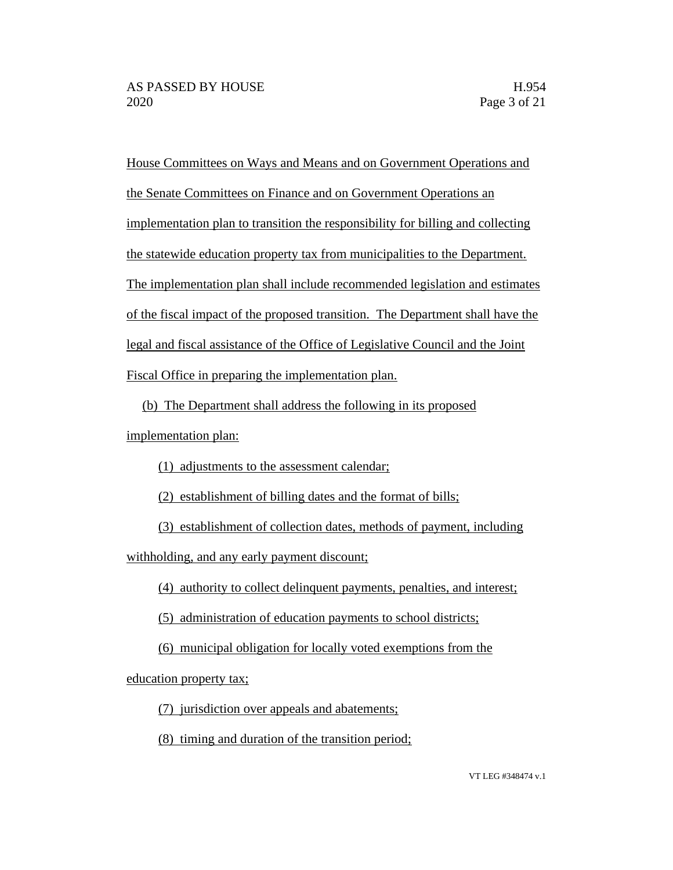House Committees on Ways and Means and on Government Operations and the Senate Committees on Finance and on Government Operations an implementation plan to transition the responsibility for billing and collecting the statewide education property tax from municipalities to the Department. The implementation plan shall include recommended legislation and estimates of the fiscal impact of the proposed transition. The Department shall have the legal and fiscal assistance of the Office of Legislative Council and the Joint Fiscal Office in preparing the implementation plan.

(b) The Department shall address the following in its proposed implementation plan:

(1) adjustments to the assessment calendar;

(2) establishment of billing dates and the format of bills;

(3) establishment of collection dates, methods of payment, including

withholding, and any early payment discount;

(4) authority to collect delinquent payments, penalties, and interest;

(5) administration of education payments to school districts;

(6) municipal obligation for locally voted exemptions from the

education property tax;

(7) jurisdiction over appeals and abatements;

(8) timing and duration of the transition period;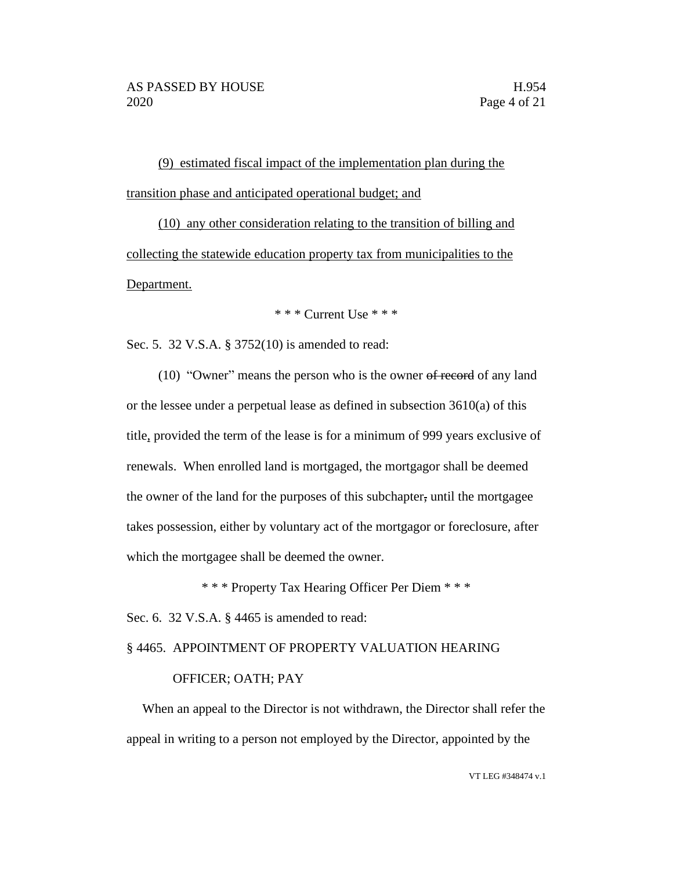(9) estimated fiscal impact of the implementation plan during the transition phase and anticipated operational budget; and

(10) any other consideration relating to the transition of billing and collecting the statewide education property tax from municipalities to the Department.

## \* \* \* Current Use \* \* \*

Sec. 5. 32 V.S.A. § 3752(10) is amended to read:

(10) "Owner" means the person who is the owner of record of any land or the lessee under a perpetual lease as defined in subsection 3610(a) of this title, provided the term of the lease is for a minimum of 999 years exclusive of renewals. When enrolled land is mortgaged, the mortgagor shall be deemed the owner of the land for the purposes of this subchapter, until the mortgagee takes possession, either by voluntary act of the mortgagor or foreclosure, after which the mortgagee shall be deemed the owner.

\* \* \* Property Tax Hearing Officer Per Diem \* \* \*

Sec. 6. 32 V.S.A. § 4465 is amended to read:

§ 4465. APPOINTMENT OF PROPERTY VALUATION HEARING

## OFFICER; OATH; PAY

When an appeal to the Director is not withdrawn, the Director shall refer the appeal in writing to a person not employed by the Director, appointed by the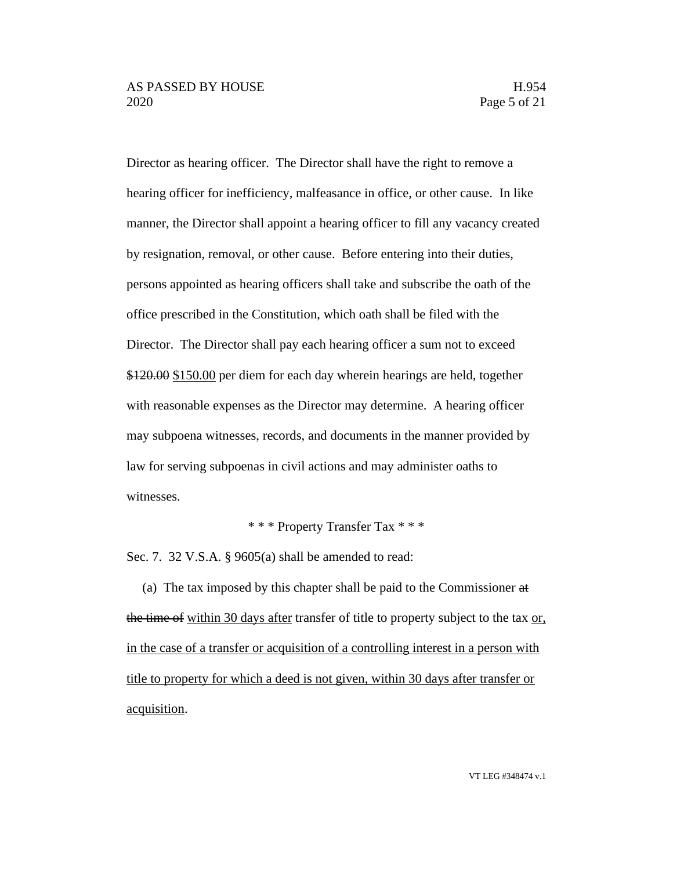Director as hearing officer. The Director shall have the right to remove a hearing officer for inefficiency, malfeasance in office, or other cause. In like manner, the Director shall appoint a hearing officer to fill any vacancy created by resignation, removal, or other cause. Before entering into their duties, persons appointed as hearing officers shall take and subscribe the oath of the office prescribed in the Constitution, which oath shall be filed with the Director. The Director shall pay each hearing officer a sum not to exceed \$120.00 \$150.00 per diem for each day wherein hearings are held, together with reasonable expenses as the Director may determine. A hearing officer may subpoena witnesses, records, and documents in the manner provided by law for serving subpoenas in civil actions and may administer oaths to witnesses.

\* \* \* Property Transfer Tax \* \* \*

Sec. 7. 32 V.S.A. § 9605(a) shall be amended to read:

(a) The tax imposed by this chapter shall be paid to the Commissioner at the time of within 30 days after transfer of title to property subject to the tax or, in the case of a transfer or acquisition of a controlling interest in a person with title to property for which a deed is not given, within 30 days after transfer or acquisition.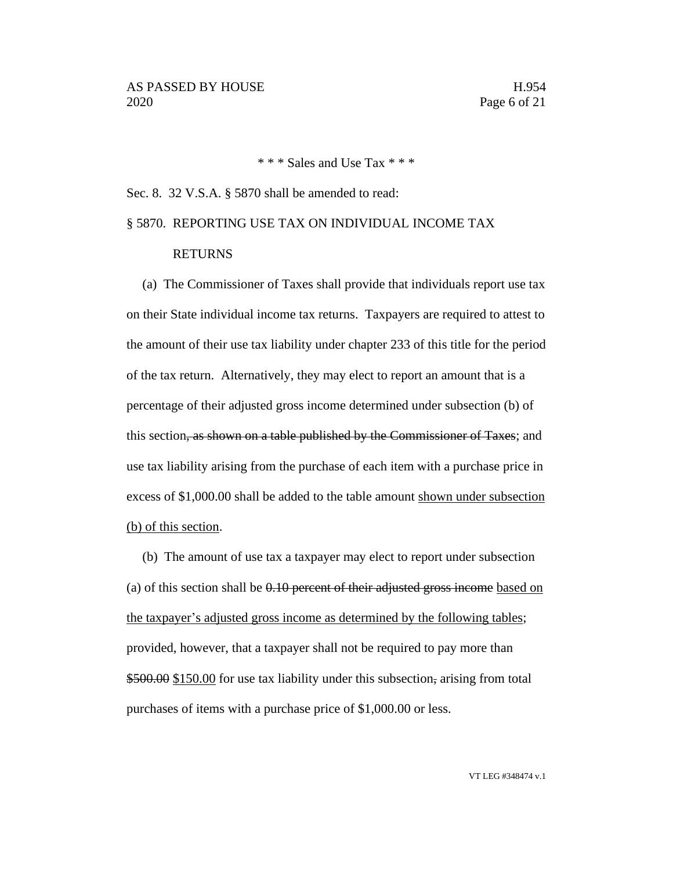\* \* \* Sales and Use Tax \* \* \*

## Sec. 8. 32 V.S.A. § 5870 shall be amended to read:

# § 5870. REPORTING USE TAX ON INDIVIDUAL INCOME TAX

## RETURNS

(a) The Commissioner of Taxes shall provide that individuals report use tax on their State individual income tax returns. Taxpayers are required to attest to the amount of their use tax liability under chapter 233 of this title for the period of the tax return. Alternatively, they may elect to report an amount that is a percentage of their adjusted gross income determined under subsection (b) of this section, as shown on a table published by the Commissioner of Taxes; and use tax liability arising from the purchase of each item with a purchase price in excess of \$1,000.00 shall be added to the table amount shown under subsection (b) of this section.

(b) The amount of use tax a taxpayer may elect to report under subsection (a) of this section shall be 0.10 percent of their adjusted gross income based on the taxpayer's adjusted gross income as determined by the following tables; provided, however, that a taxpayer shall not be required to pay more than \$500.00 \$150.00 for use tax liability under this subsection, arising from total purchases of items with a purchase price of \$1,000.00 or less.

VT LEG #348474 v.1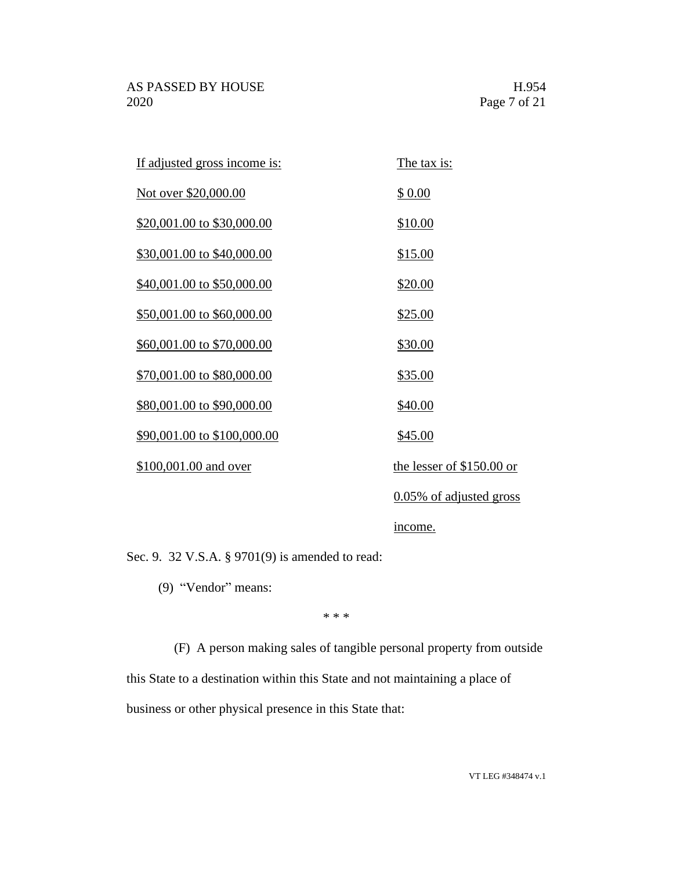| <u>If adjusted gross income is:</u> | <u>The tax is:</u>         |
|-------------------------------------|----------------------------|
| Not over \$20,000.00                | \$ 0.00                    |
| \$20,001.00 to \$30,000.00          | \$10.00                    |
| \$30,001.00 to \$40,000.00          | \$15.00                    |
| \$40,001.00 to \$50,000.00          | \$20.00                    |
| \$50,001.00 to \$60,000.00          | \$25.00                    |
| \$60,001.00 to \$70,000.00          | \$30.00                    |
| \$70,001.00 to \$80,000.00          | \$35.00                    |
| \$80,001.00 to \$90,000.00          | \$40.00                    |
| \$90,001.00 to \$100,000.00         | \$45.00                    |
| \$100,001.00 and over               | the lesser of $$150.00$ or |
|                                     | 0.05% of adjusted gross    |
|                                     |                            |

income.

Sec. 9. 32 V.S.A. § 9701(9) is amended to read:

(9) "Vendor" means:

\* \* \*

(F) A person making sales of tangible personal property from outside

this State to a destination within this State and not maintaining a place of business or other physical presence in this State that: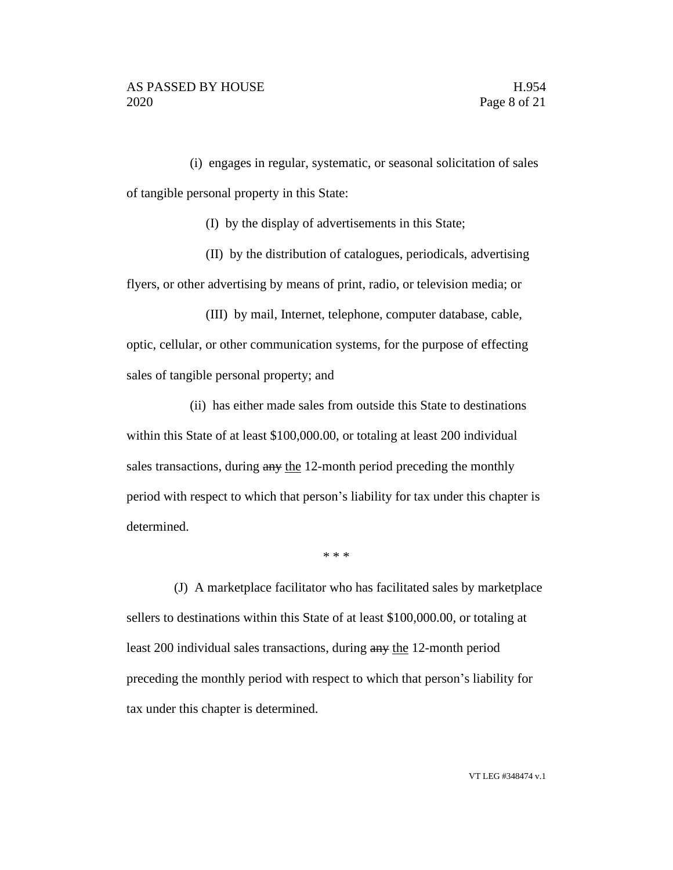(i) engages in regular, systematic, or seasonal solicitation of sales of tangible personal property in this State:

(I) by the display of advertisements in this State;

(II) by the distribution of catalogues, periodicals, advertising flyers, or other advertising by means of print, radio, or television media; or

(III) by mail, Internet, telephone, computer database, cable, optic, cellular, or other communication systems, for the purpose of effecting sales of tangible personal property; and

(ii) has either made sales from outside this State to destinations within this State of at least \$100,000.00, or totaling at least 200 individual sales transactions, during any the 12-month period preceding the monthly period with respect to which that person's liability for tax under this chapter is determined.

\* \* \*

(J) A marketplace facilitator who has facilitated sales by marketplace sellers to destinations within this State of at least \$100,000.00, or totaling at least 200 individual sales transactions, during any the 12-month period preceding the monthly period with respect to which that person's liability for tax under this chapter is determined.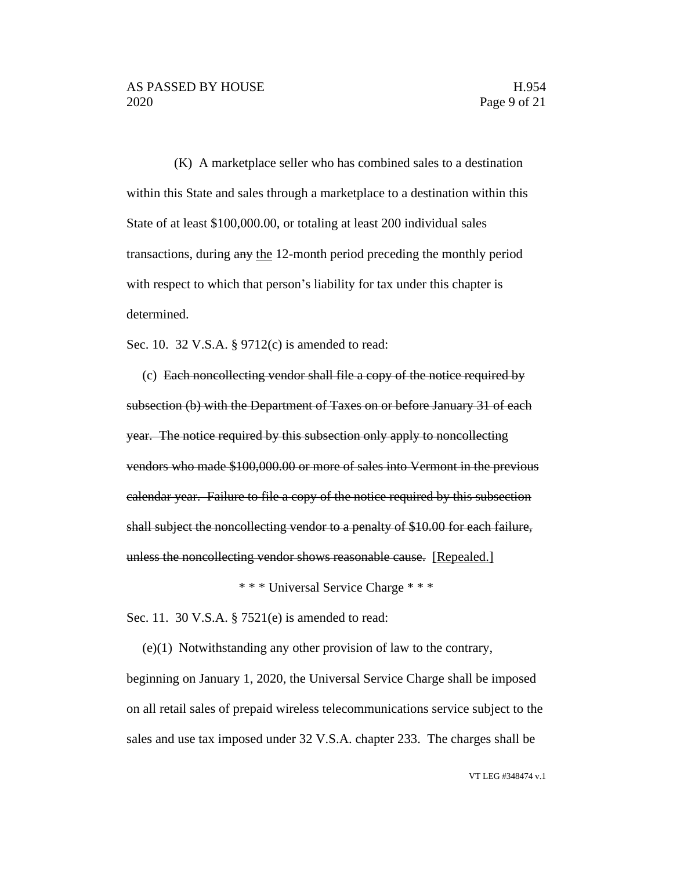(K) A marketplace seller who has combined sales to a destination within this State and sales through a marketplace to a destination within this State of at least \$100,000.00, or totaling at least 200 individual sales transactions, during any the 12-month period preceding the monthly period with respect to which that person's liability for tax under this chapter is determined.

Sec. 10. 32 V.S.A. § 9712(c) is amended to read:

(c) Each noncollecting vendor shall file a copy of the notice required by subsection (b) with the Department of Taxes on or before January 31 of each year. The notice required by this subsection only apply to noncollecting vendors who made \$100,000.00 or more of sales into Vermont in the previous calendar year. Failure to file a copy of the notice required by this subsection shall subject the noncollecting vendor to a penalty of \$10.00 for each failure, unless the noncollecting vendor shows reasonable cause. [Repealed.]

\* \* \* Universal Service Charge \* \* \*

Sec. 11. 30 V.S.A. § 7521(e) is amended to read:

(e)(1) Notwithstanding any other provision of law to the contrary, beginning on January 1, 2020, the Universal Service Charge shall be imposed on all retail sales of prepaid wireless telecommunications service subject to the sales and use tax imposed under 32 V.S.A. chapter 233. The charges shall be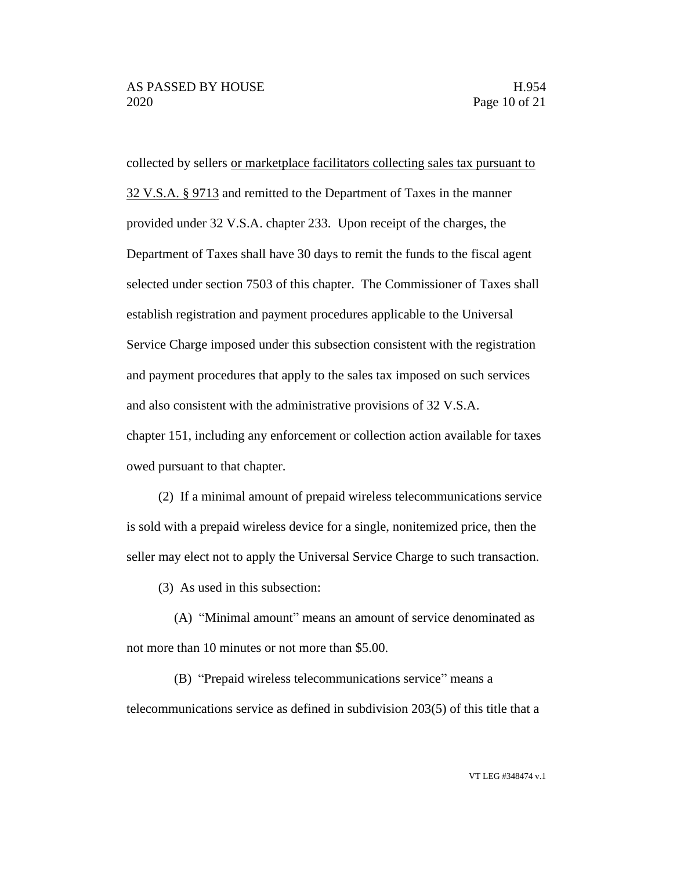collected by sellers or marketplace facilitators collecting sales tax pursuant to 32 V.S.A. § 9713 and remitted to the Department of Taxes in the manner provided under 32 V.S.A. chapter 233. Upon receipt of the charges, the Department of Taxes shall have 30 days to remit the funds to the fiscal agent selected under section 7503 of this chapter. The Commissioner of Taxes shall establish registration and payment procedures applicable to the Universal Service Charge imposed under this subsection consistent with the registration and payment procedures that apply to the sales tax imposed on such services and also consistent with the administrative provisions of 32 V.S.A. chapter 151, including any enforcement or collection action available for taxes owed pursuant to that chapter.

(2) If a minimal amount of prepaid wireless telecommunications service is sold with a prepaid wireless device for a single, nonitemized price, then the seller may elect not to apply the Universal Service Charge to such transaction.

(3) As used in this subsection:

(A) "Minimal amount" means an amount of service denominated as not more than 10 minutes or not more than \$5.00.

(B) "Prepaid wireless telecommunications service" means a telecommunications service as defined in subdivision 203(5) of this title that a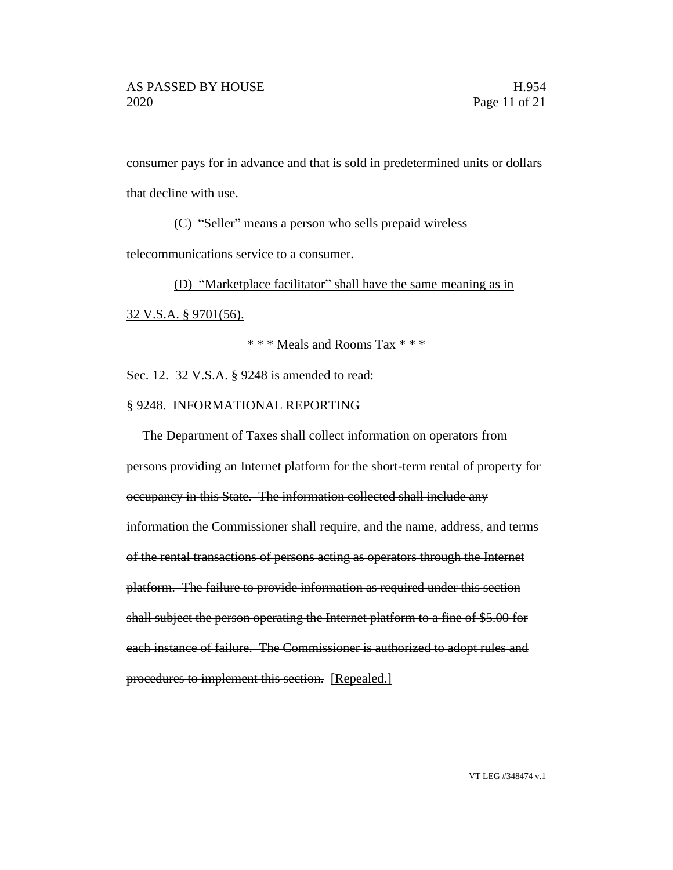consumer pays for in advance and that is sold in predetermined units or dollars that decline with use.

(C) "Seller" means a person who sells prepaid wireless

telecommunications service to a consumer.

(D) "Marketplace facilitator" shall have the same meaning as in

32 V.S.A. § 9701(56).

\* \* \* Meals and Rooms Tax \* \* \*

Sec. 12. 32 V.S.A. § 9248 is amended to read:

## § 9248. INFORMATIONAL REPORTING

The Department of Taxes shall collect information on operators from persons providing an Internet platform for the short-term rental of property for occupancy in this State. The information collected shall include any information the Commissioner shall require, and the name, address, and terms of the rental transactions of persons acting as operators through the Internet platform. The failure to provide information as required under this section shall subject the person operating the Internet platform to a fine of \$5.00 for each instance of failure. The Commissioner is authorized to adopt rules and procedures to implement this section. [Repealed.]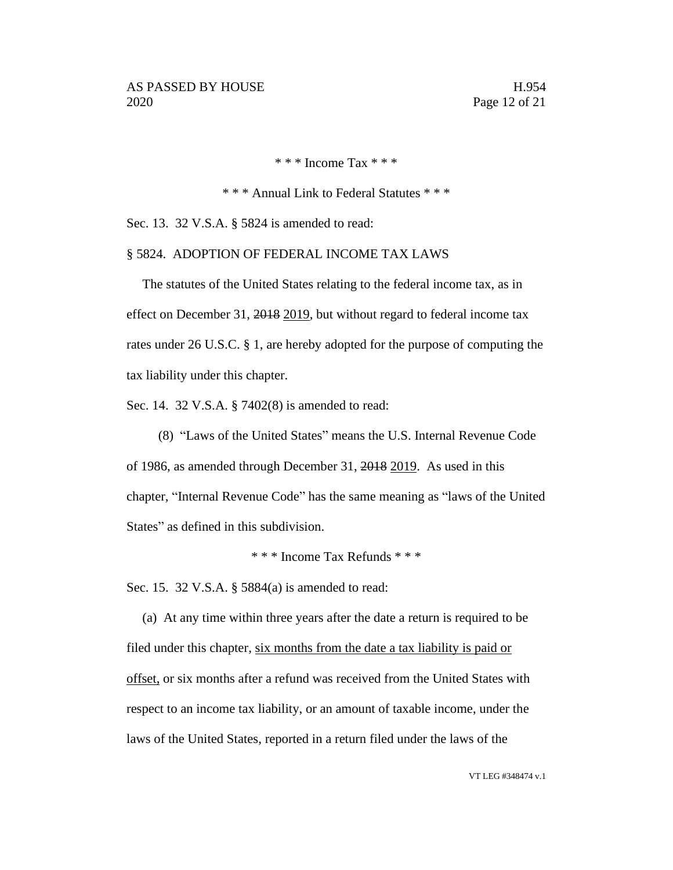\* \* \* Income Tax \* \* \*

\* \* \* Annual Link to Federal Statutes \* \* \*

Sec. 13. 32 V.S.A. § 5824 is amended to read:

## § 5824. ADOPTION OF FEDERAL INCOME TAX LAWS

The statutes of the United States relating to the federal income tax, as in effect on December 31, 2018 2019, but without regard to federal income tax rates under 26 U.S.C. § 1, are hereby adopted for the purpose of computing the tax liability under this chapter.

Sec. 14. 32 V.S.A. § 7402(8) is amended to read:

(8) "Laws of the United States" means the U.S. Internal Revenue Code of 1986, as amended through December 31, 2018 2019. As used in this chapter, "Internal Revenue Code" has the same meaning as "laws of the United States" as defined in this subdivision.

\* \* \* Income Tax Refunds \* \* \*

Sec. 15. 32 V.S.A. § 5884(a) is amended to read:

(a) At any time within three years after the date a return is required to be filed under this chapter, six months from the date a tax liability is paid or offset, or six months after a refund was received from the United States with respect to an income tax liability, or an amount of taxable income, under the laws of the United States, reported in a return filed under the laws of the

VT LEG #348474 v.1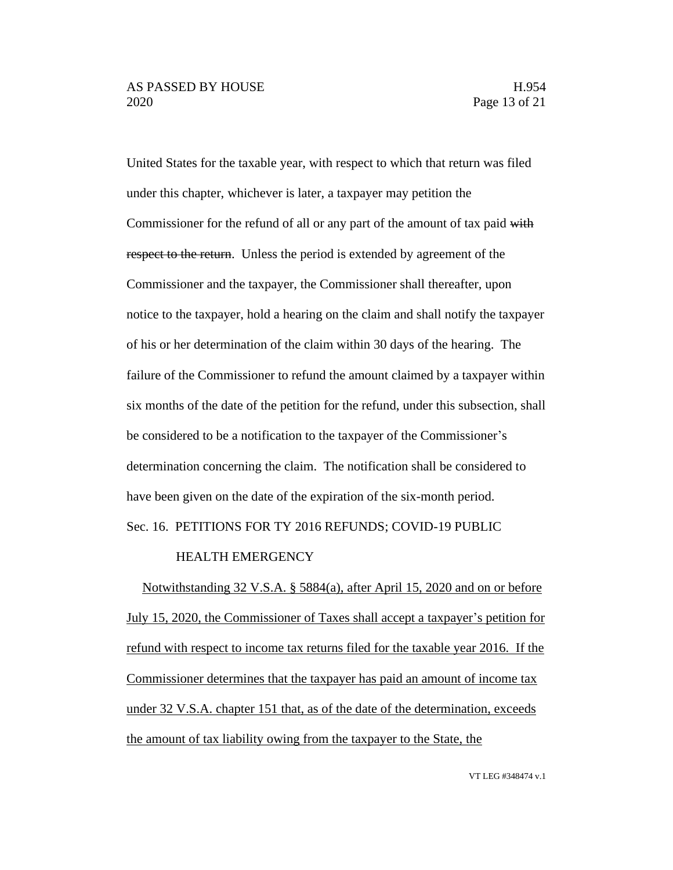United States for the taxable year, with respect to which that return was filed under this chapter, whichever is later, a taxpayer may petition the Commissioner for the refund of all or any part of the amount of tax paid with respect to the return. Unless the period is extended by agreement of the Commissioner and the taxpayer, the Commissioner shall thereafter, upon notice to the taxpayer, hold a hearing on the claim and shall notify the taxpayer of his or her determination of the claim within 30 days of the hearing. The failure of the Commissioner to refund the amount claimed by a taxpayer within six months of the date of the petition for the refund, under this subsection, shall be considered to be a notification to the taxpayer of the Commissioner's determination concerning the claim. The notification shall be considered to have been given on the date of the expiration of the six-month period.

Sec. 16. PETITIONS FOR TY 2016 REFUNDS; COVID-19 PUBLIC

# HEALTH EMERGENCY

Notwithstanding 32 V.S.A. § 5884(a), after April 15, 2020 and on or before July 15, 2020, the Commissioner of Taxes shall accept a taxpayer's petition for refund with respect to income tax returns filed for the taxable year 2016. If the Commissioner determines that the taxpayer has paid an amount of income tax under 32 V.S.A. chapter 151 that, as of the date of the determination, exceeds the amount of tax liability owing from the taxpayer to the State, the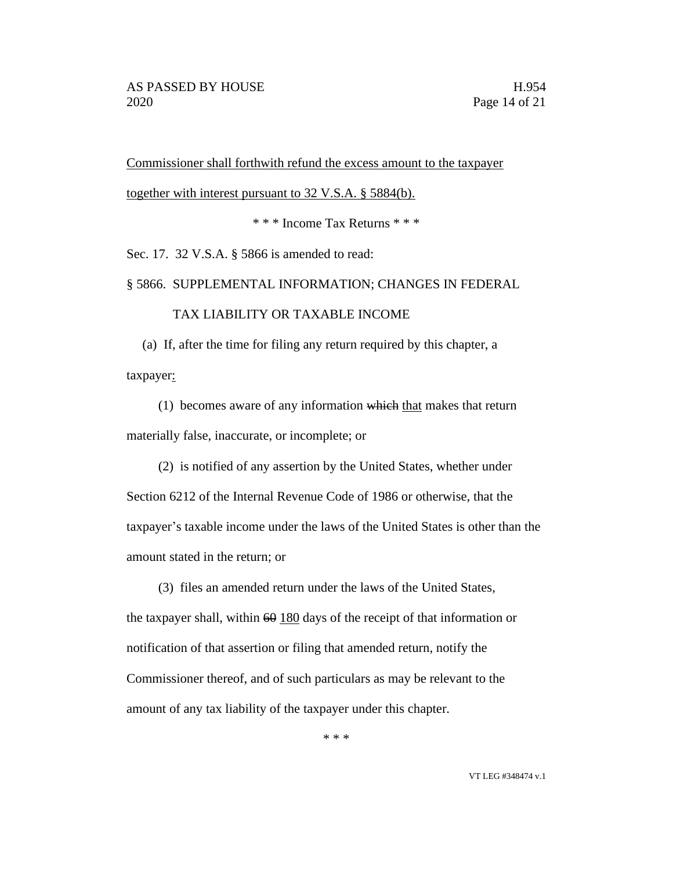Commissioner shall forthwith refund the excess amount to the taxpayer together with interest pursuant to 32 V.S.A. § 5884(b).

\* \* \* Income Tax Returns \* \* \*

Sec. 17. 32 V.S.A. § 5866 is amended to read:

§ 5866. SUPPLEMENTAL INFORMATION; CHANGES IN FEDERAL

# TAX LIABILITY OR TAXABLE INCOME

(a) If, after the time for filing any return required by this chapter, a taxpayer:

(1) becomes aware of any information which that makes that return materially false, inaccurate, or incomplete; or

(2) is notified of any assertion by the United States, whether under Section 6212 of the Internal Revenue Code of 1986 or otherwise, that the taxpayer's taxable income under the laws of the United States is other than the amount stated in the return; or

(3) files an amended return under the laws of the United States, the taxpayer shall, within  $60 \frac{180}{2}$  days of the receipt of that information or notification of that assertion or filing that amended return, notify the Commissioner thereof, and of such particulars as may be relevant to the amount of any tax liability of the taxpayer under this chapter.

\* \* \*

VT LEG #348474 v.1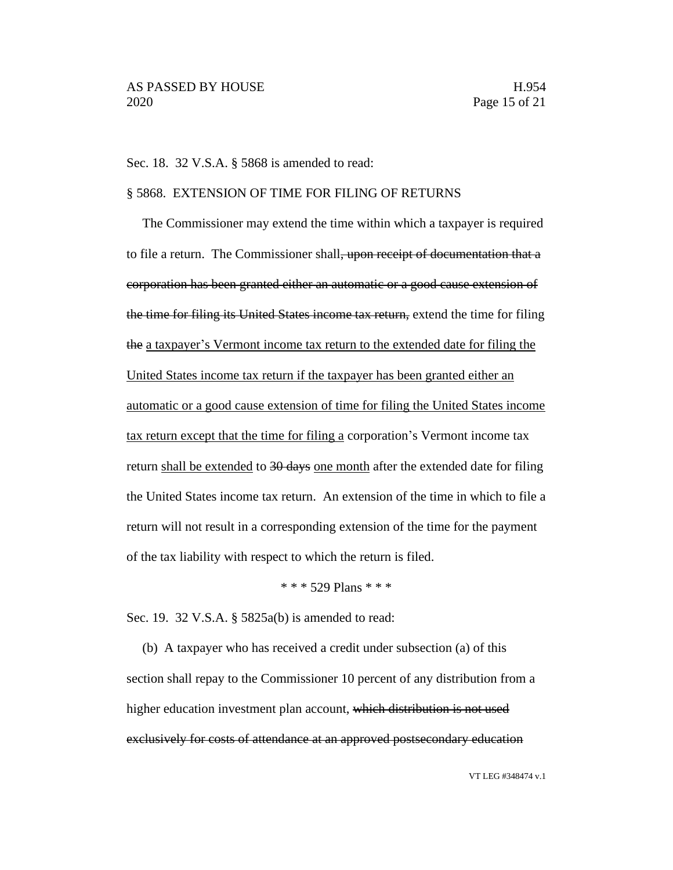#### Sec. 18. 32 V.S.A. § 5868 is amended to read:

# § 5868. EXTENSION OF TIME FOR FILING OF RETURNS

The Commissioner may extend the time within which a taxpayer is required to file a return. The Commissioner shall<del>, upon receipt of documentation that a</del> corporation has been granted either an automatic or a good cause extension of the time for filing its United States income tax return, extend the time for filing the a taxpayer's Vermont income tax return to the extended date for filing the United States income tax return if the taxpayer has been granted either an automatic or a good cause extension of time for filing the United States income tax return except that the time for filing a corporation's Vermont income tax return shall be extended to 30 days one month after the extended date for filing the United States income tax return. An extension of the time in which to file a return will not result in a corresponding extension of the time for the payment of the tax liability with respect to which the return is filed.

#### \* \* \* 529 Plans \* \* \*

Sec. 19. 32 V.S.A. § 5825a(b) is amended to read:

(b) A taxpayer who has received a credit under subsection (a) of this section shall repay to the Commissioner 10 percent of any distribution from a higher education investment plan account, which distribution is not used exclusively for costs of attendance at an approved postsecondary education

VT LEG #348474 v.1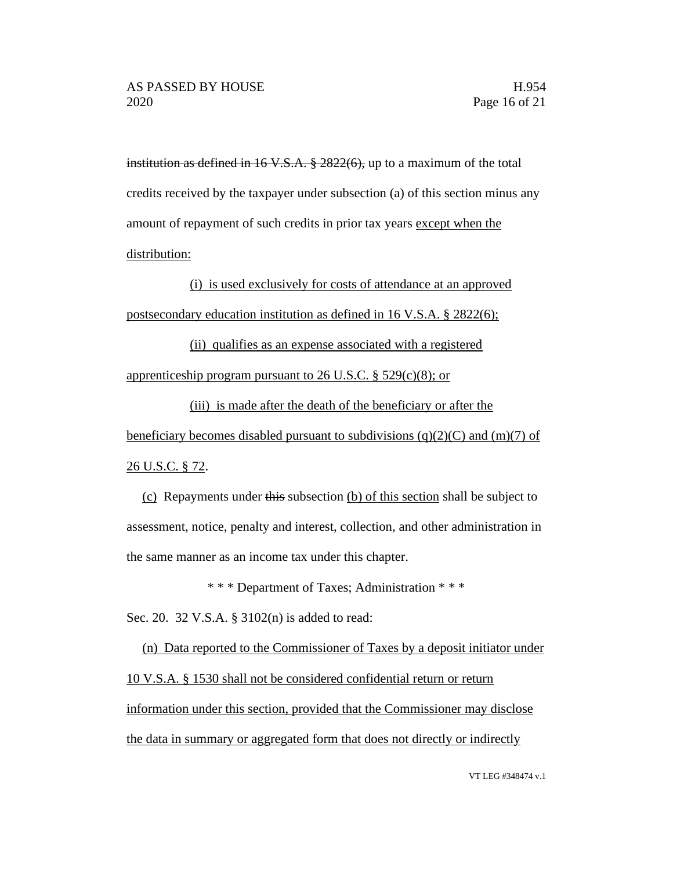institution as defined in 16 V.S.A. § 2822(6), up to a maximum of the total credits received by the taxpayer under subsection (a) of this section minus any amount of repayment of such credits in prior tax years except when the distribution:

(i) is used exclusively for costs of attendance at an approved postsecondary education institution as defined in 16 V.S.A. § 2822(6);

(ii) qualifies as an expense associated with a registered apprenticeship program pursuant to 26 U.S.C. § 529(c)(8); or

(iii) is made after the death of the beneficiary or after the beneficiary becomes disabled pursuant to subdivisions (q)(2)(C) and (m)(7) of 26 U.S.C. § 72.

(c) Repayments under this subsection (b) of this section shall be subject to assessment, notice, penalty and interest, collection, and other administration in the same manner as an income tax under this chapter.

\* \* \* Department of Taxes; Administration \* \* \*

Sec. 20. 32 V.S.A. § 3102(n) is added to read:

(n) Data reported to the Commissioner of Taxes by a deposit initiator under 10 V.S.A. § 1530 shall not be considered confidential return or return information under this section, provided that the Commissioner may disclose the data in summary or aggregated form that does not directly or indirectly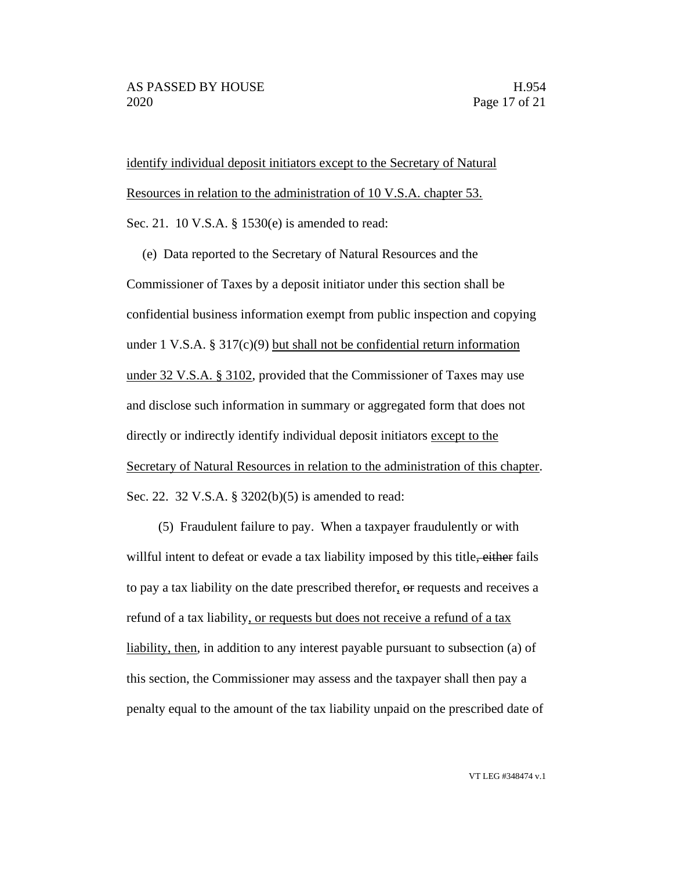identify individual deposit initiators except to the Secretary of Natural Resources in relation to the administration of 10 V.S.A. chapter 53. Sec. 21. 10 V.S.A. § 1530(e) is amended to read:

(e) Data reported to the Secretary of Natural Resources and the Commissioner of Taxes by a deposit initiator under this section shall be confidential business information exempt from public inspection and copying under 1 V.S.A. § 317(c)(9) but shall not be confidential return information under 32 V.S.A. § 3102, provided that the Commissioner of Taxes may use and disclose such information in summary or aggregated form that does not directly or indirectly identify individual deposit initiators except to the Secretary of Natural Resources in relation to the administration of this chapter. Sec. 22. 32 V.S.A. § 3202(b)(5) is amended to read:

(5) Fraudulent failure to pay. When a taxpayer fraudulently or with willful intent to defeat or evade a tax liability imposed by this title, either fails to pay a tax liability on the date prescribed therefor, or requests and receives a refund of a tax liability, or requests but does not receive a refund of a tax liability, then, in addition to any interest payable pursuant to subsection (a) of this section, the Commissioner may assess and the taxpayer shall then pay a penalty equal to the amount of the tax liability unpaid on the prescribed date of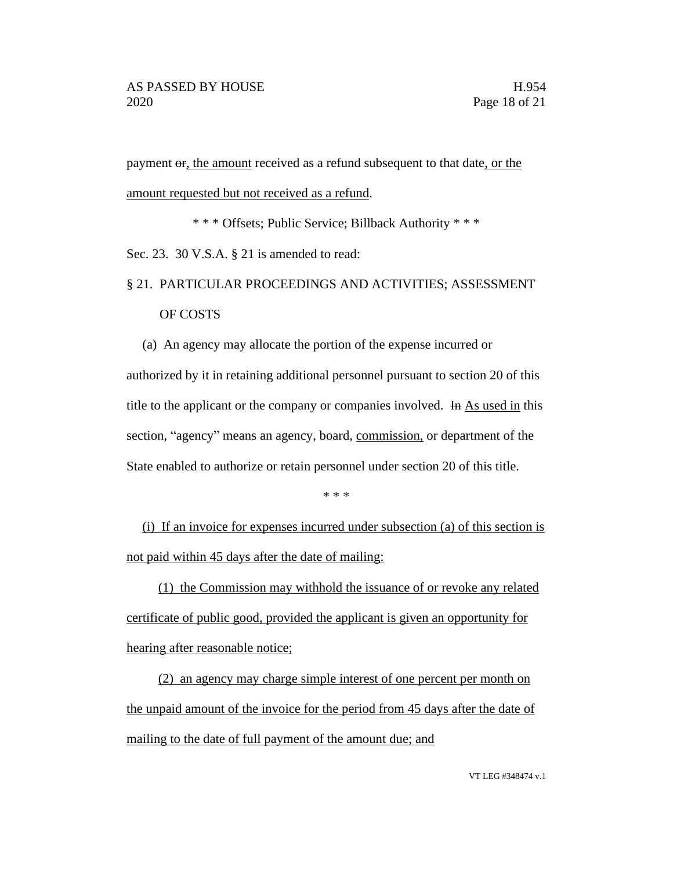payment  $\sigma$ , the amount received as a refund subsequent to that date, or the amount requested but not received as a refund.

\* \* \* Offsets; Public Service; Billback Authority \* \* \*

Sec. 23. 30 V.S.A. § 21 is amended to read:

# § 21. PARTICULAR PROCEEDINGS AND ACTIVITIES; ASSESSMENT OF COSTS

(a) An agency may allocate the portion of the expense incurred or

authorized by it in retaining additional personnel pursuant to section 20 of this title to the applicant or the company or companies involved. In As used in this section, "agency" means an agency, board, commission, or department of the State enabled to authorize or retain personnel under section 20 of this title.

\* \* \*

(i) If an invoice for expenses incurred under subsection (a) of this section is not paid within 45 days after the date of mailing:

(1) the Commission may withhold the issuance of or revoke any related certificate of public good, provided the applicant is given an opportunity for hearing after reasonable notice;

(2) an agency may charge simple interest of one percent per month on the unpaid amount of the invoice for the period from 45 days after the date of mailing to the date of full payment of the amount due; and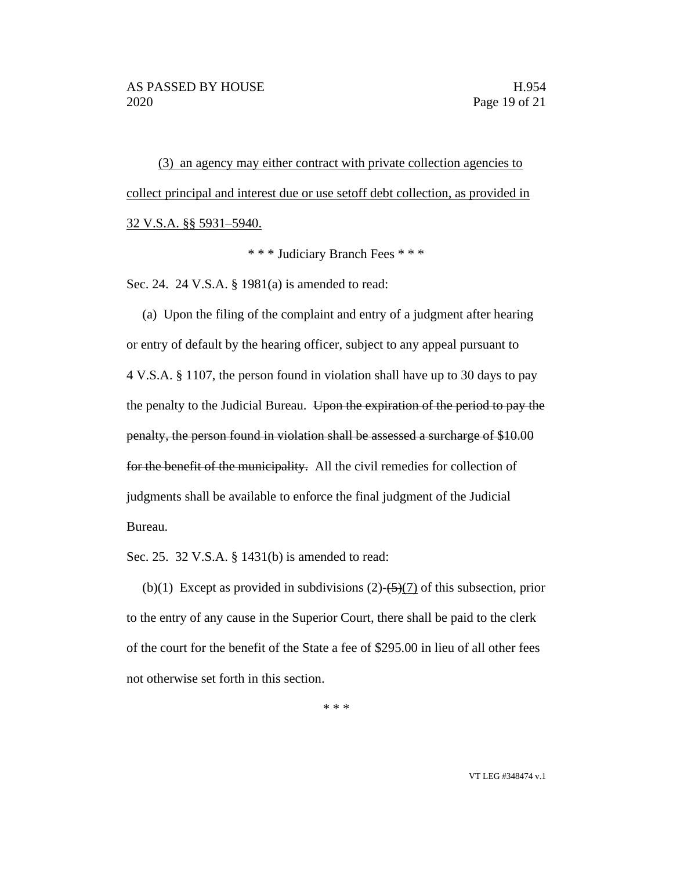(3) an agency may either contract with private collection agencies to collect principal and interest due or use setoff debt collection, as provided in 32 V.S.A. §§ 5931–5940.

\* \* \* Judiciary Branch Fees \* \* \*

Sec. 24. 24 V.S.A. § 1981(a) is amended to read:

(a) Upon the filing of the complaint and entry of a judgment after hearing or entry of default by the hearing officer, subject to any appeal pursuant to 4 V.S.A. § 1107, the person found in violation shall have up to 30 days to pay the penalty to the Judicial Bureau. Upon the expiration of the period to pay the penalty, the person found in violation shall be assessed a surcharge of \$10.00 for the benefit of the municipality. All the civil remedies for collection of judgments shall be available to enforce the final judgment of the Judicial Bureau.

Sec. 25. 32 V.S.A. § 1431(b) is amended to read:

(b)(1) Except as provided in subdivisions  $(2)$ - $(5)$  $(7)$  of this subsection, prior to the entry of any cause in the Superior Court, there shall be paid to the clerk of the court for the benefit of the State a fee of \$295.00 in lieu of all other fees not otherwise set forth in this section.

\* \* \*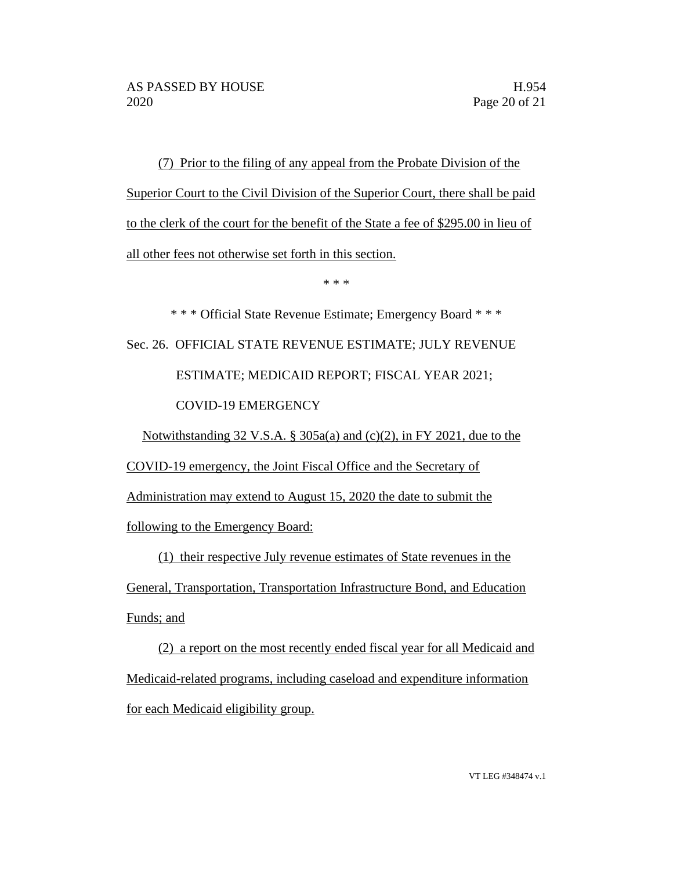(7) Prior to the filing of any appeal from the Probate Division of the Superior Court to the Civil Division of the Superior Court, there shall be paid to the clerk of the court for the benefit of the State a fee of \$295.00 in lieu of all other fees not otherwise set forth in this section.

\* \* \*

\* \* \* Official State Revenue Estimate; Emergency Board \* \* \* Sec. 26. OFFICIAL STATE REVENUE ESTIMATE; JULY REVENUE ESTIMATE; MEDICAID REPORT; FISCAL YEAR 2021; COVID-19 EMERGENCY

Notwithstanding 32 V.S.A. § 305a(a) and (c)(2), in FY 2021, due to the

COVID-19 emergency, the Joint Fiscal Office and the Secretary of

Administration may extend to August 15, 2020 the date to submit the

following to the Emergency Board:

(1) their respective July revenue estimates of State revenues in the General, Transportation, Transportation Infrastructure Bond, and Education Funds; and

(2) a report on the most recently ended fiscal year for all Medicaid and Medicaid-related programs, including caseload and expenditure information for each Medicaid eligibility group.